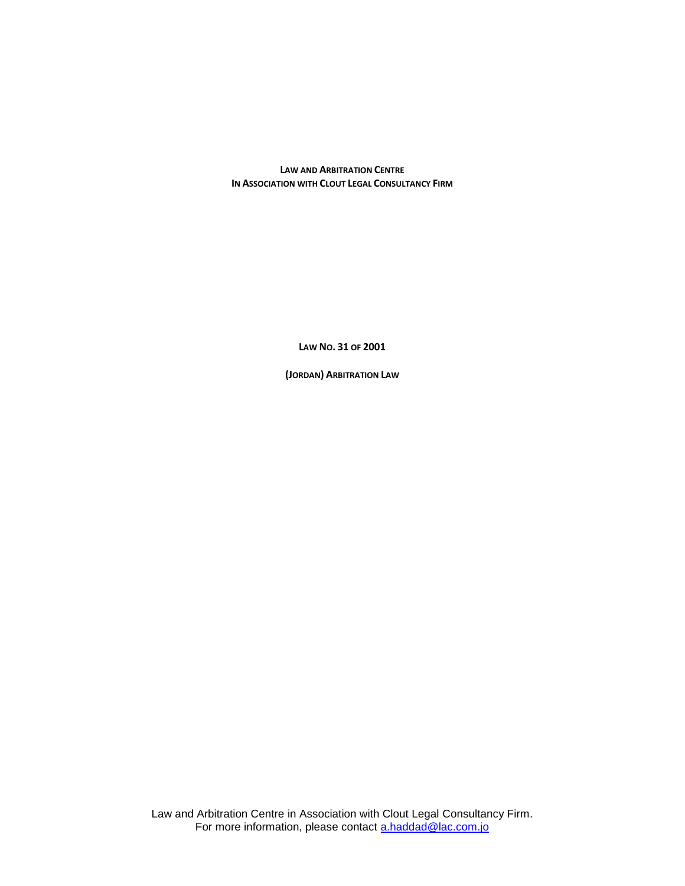**LAW AND ARBITRATION CENTRE IN ASSOCIATION WITH CLOUT LEGAL CONSULTANCY FIRM**

**LAW NO. 31 OF 2001**

**(JORDAN) ARBITRATION LAW**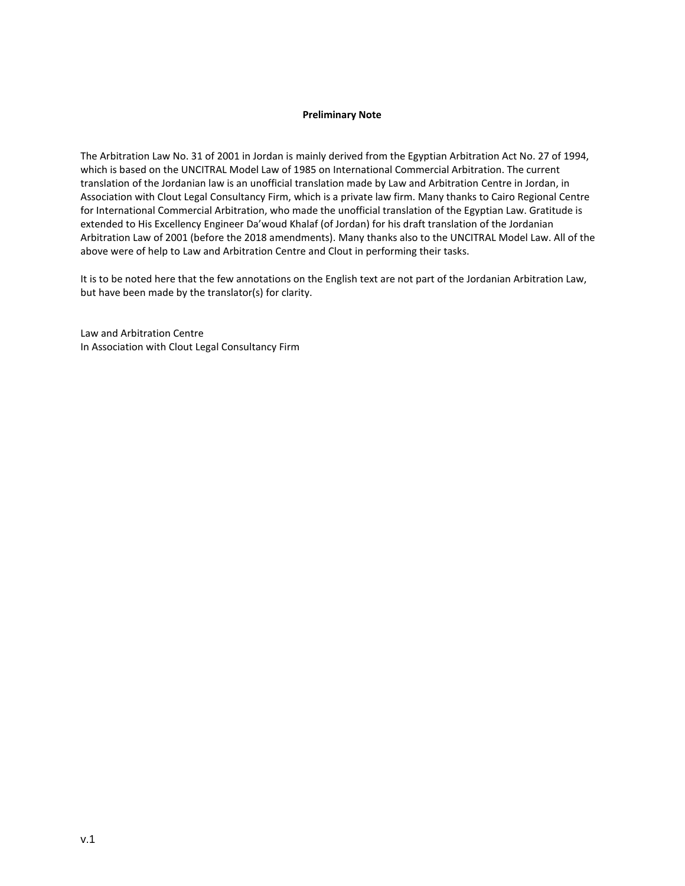## **Preliminary Note**

The Arbitration Law No. 31 of 2001 in Jordan is mainly derived from the Egyptian Arbitration Act No. 27 of 1994, which is based on the UNCITRAL Model Law of 1985 on International Commercial Arbitration. The current translation of the Jordanian law is an unofficial translation made by Law and Arbitration Centre in Jordan, in Association with Clout Legal Consultancy Firm, which is a private law firm. Many thanks to Cairo Regional Centre for International Commercial Arbitration, who made the unofficial translation of the Egyptian Law. Gratitude is extended to His Excellency Engineer Da'woud Khalaf (of Jordan) for his draft translation of the Jordanian Arbitration Law of 2001 (before the 2018 amendments). Many thanks also to the UNCITRAL Model Law. All of the above were of help to Law and Arbitration Centre and Clout in performing their tasks.

It is to be noted here that the few annotations on the English text are not part of the Jordanian Arbitration Law, but have been made by the translator(s) for clarity.

Law and Arbitration Centre In Association with Clout Legal Consultancy Firm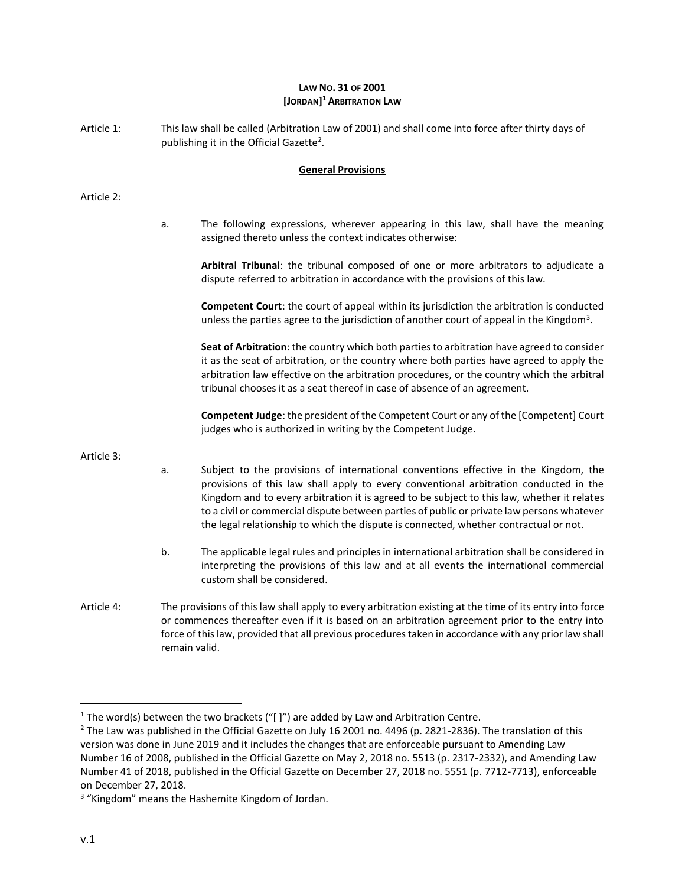# **LAW NO. 31 OF 2001 [JORDAN] <sup>1</sup> ARBITRATION LAW**

Article 1: This law shall be called (Arbitration Law of 2001) and shall come into force after thirty days of publishing it in the Official Gazette<sup>2</sup>.

# **General Provisions**

## Article 2:

a. The following expressions, wherever appearing in this law, shall have the meaning assigned thereto unless the context indicates otherwise:

**Arbitral Tribunal**: the tribunal composed of one or more arbitrators to adjudicate a dispute referred to arbitration in accordance with the provisions of this law.

**Competent Court**: the court of appeal within its jurisdiction the arbitration is conducted unless the parties agree to the jurisdiction of another court of appeal in the Kingdom<sup>3</sup>.

**Seat of Arbitration**: the country which both parties to arbitration have agreed to consider it as the seat of arbitration, or the country where both parties have agreed to apply the arbitration law effective on the arbitration procedures, or the country which the arbitral tribunal chooses it as a seat thereof in case of absence of an agreement.

**Competent Judge**: the president of the Competent Court or any of the [Competent] Court judges who is authorized in writing by the Competent Judge.

### Article 3:

- a. Subject to the provisions of international conventions effective in the Kingdom, the provisions of this law shall apply to every conventional arbitration conducted in the Kingdom and to every arbitration it is agreed to be subject to this law, whether it relates to a civil or commercial dispute between parties of public or private law persons whatever the legal relationship to which the dispute is connected, whether contractual or not.
- b. The applicable legal rules and principles in international arbitration shall be considered in interpreting the provisions of this law and at all events the international commercial custom shall be considered.
- Article 4: The provisions of this law shall apply to every arbitration existing at the time of its entry into force or commences thereafter even if it is based on an arbitration agreement prior to the entry into force of this law, provided that all previous procedures taken in accordance with any prior law shall remain valid.

 $\overline{\phantom{a}}$ 

<sup>&</sup>lt;sup>1</sup> The word(s) between the two brackets (" $\vert$ ") are added by Law and Arbitration Centre.

 $2$  The Law was published in the Official Gazette on July 16 2001 no. 4496 (p. 2821-2836). The translation of this version was done in June 2019 and it includes the changes that are enforceable pursuant to Amending Law Number 16 of 2008, published in the Official Gazette on May 2, 2018 no. 5513 (p. 2317-2332), and Amending Law Number 41 of 2018, published in the Official Gazette on December 27, 2018 no. 5551 (p. 7712-7713), enforceable on December 27, 2018.

<sup>&</sup>lt;sup>3</sup> "Kingdom" means the Hashemite Kingdom of Jordan.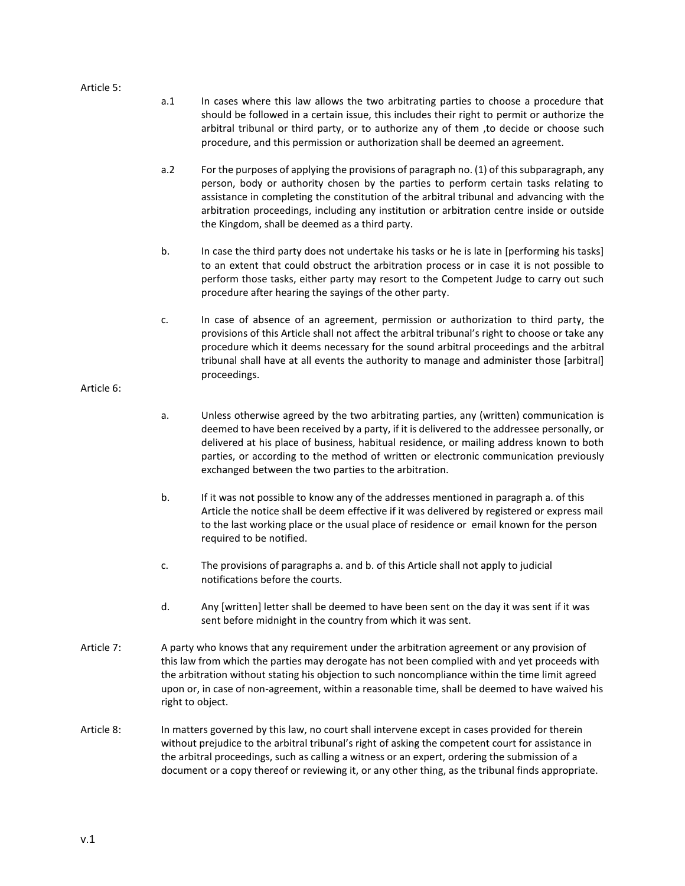#### Article 5:

- a.1 In cases where this law allows the two arbitrating parties to choose a procedure that should be followed in a certain issue, this includes their right to permit or authorize the arbitral tribunal or third party, or to authorize any of them ,to decide or choose such procedure, and this permission or authorization shall be deemed an agreement.
- a.2 For the purposes of applying the provisions of paragraph no. (1) of this subparagraph, any person, body or authority chosen by the parties to perform certain tasks relating to assistance in completing the constitution of the arbitral tribunal and advancing with the arbitration proceedings, including any institution or arbitration centre inside or outside the Kingdom, shall be deemed as a third party.
- b. In case the third party does not undertake his tasks or he is late in [performing his tasks] to an extent that could obstruct the arbitration process or in case it is not possible to perform those tasks, either party may resort to the Competent Judge to carry out such procedure after hearing the sayings of the other party.
- c. In case of absence of an agreement, permission or authorization to third party, the provisions of this Article shall not affect the arbitral tribunal's right to choose or take any procedure which it deems necessary for the sound arbitral proceedings and the arbitral tribunal shall have at all events the authority to manage and administer those [arbitral] proceedings.

# Article 6:

- a. Unless otherwise agreed by the two arbitrating parties, any (written) communication is deemed to have been received by a party, if it is delivered to the addressee personally, or delivered at his place of business, habitual residence, or mailing address known to both parties, or according to the method of written or electronic communication previously exchanged between the two parties to the arbitration.
- b. If it was not possible to know any of the addresses mentioned in paragraph a. of this Article the notice shall be deem effective if it was delivered by registered or express mail to the last working place or the usual place of residence or email known for the person required to be notified.
- c. The provisions of paragraphs a. and b. of this Article shall not apply to judicial notifications before the courts.
- d. Any [written] letter shall be deemed to have been sent on the day it was sent if it was sent before midnight in the country from which it was sent.
- Article 7: A party who knows that any requirement under the arbitration agreement or any provision of this law from which the parties may derogate has not been complied with and yet proceeds with the arbitration without stating his objection to such noncompliance within the time limit agreed upon or, in case of non-agreement, within a reasonable time, shall be deemed to have waived his right to object.
- Article 8: In matters governed by this law, no court shall intervene except in cases provided for therein without prejudice to the arbitral tribunal's right of asking the competent court for assistance in the arbitral proceedings, such as calling a witness or an expert, ordering the submission of a document or a copy thereof or reviewing it, or any other thing, as the tribunal finds appropriate.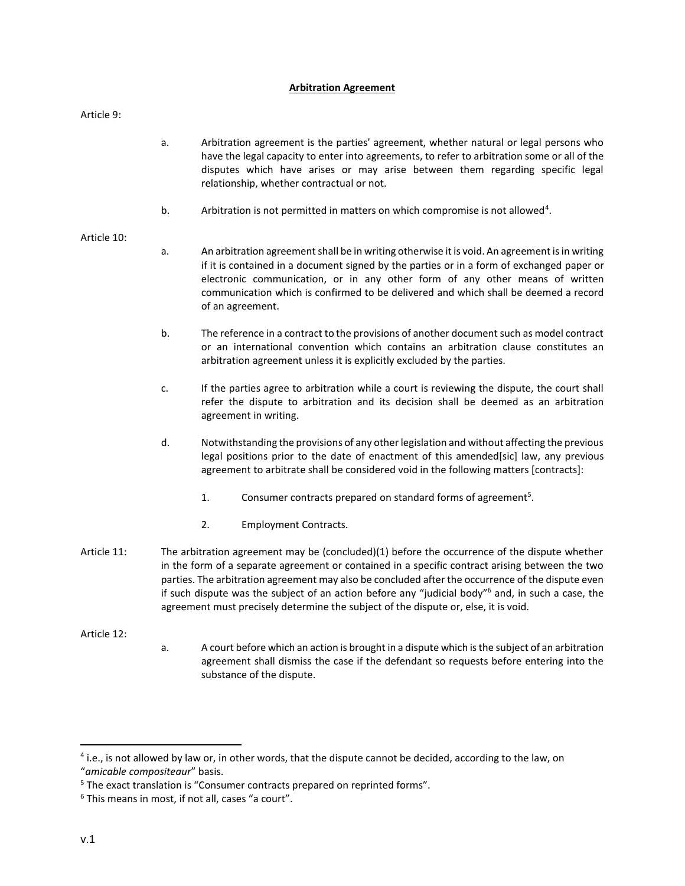# **Arbitration Agreement**

Article 9:

- a. Arbitration agreement is the parties' agreement, whether natural or legal persons who have the legal capacity to enter into agreements, to refer to arbitration some or all of the disputes which have arises or may arise between them regarding specific legal relationship, whether contractual or not.
- b. Arbitration is not permitted in matters on which compromise is not allowed<sup>4</sup>.

# Article 10:

- a. An arbitration agreement shall be in writing otherwise it is void. An agreement is in writing if it is contained in a document signed by the parties or in a form of exchanged paper or electronic communication, or in any other form of any other means of written communication which is confirmed to be delivered and which shall be deemed a record of an agreement.
- b. The reference in a contract to the provisions of another document such as model contract or an international convention which contains an arbitration clause constitutes an arbitration agreement unless it is explicitly excluded by the parties.
- c. If the parties agree to arbitration while a court is reviewing the dispute, the court shall refer the dispute to arbitration and its decision shall be deemed as an arbitration agreement in writing.
- d. Notwithstanding the provisions of any other legislation and without affecting the previous legal positions prior to the date of enactment of this amended[sic] law, any previous agreement to arbitrate shall be considered void in the following matters [contracts]:
	- 1. Consumer contracts prepared on standard forms of agreement<sup>5</sup>.
	- 2. Employment Contracts.
- Article 11: The arbitration agreement may be (concluded)(1) before the occurrence of the dispute whether in the form of a separate agreement or contained in a specific contract arising between the two parties. The arbitration agreement may also be concluded after the occurrence of the dispute even if such dispute was the subject of an action before any "judicial body"<sup>6</sup> and, in such a case, the agreement must precisely determine the subject of the dispute or, else, it is void.

Article 12:

a. A court before which an action is brought in a dispute which is the subject of an arbitration agreement shall dismiss the case if the defendant so requests before entering into the substance of the dispute.

 $\overline{\phantom{a}}$ 

<sup>&</sup>lt;sup>4</sup> i.e., is not allowed by law or, in other words, that the dispute cannot be decided, according to the law, on "*amicable compositeaur*" basis.

<sup>&</sup>lt;sup>5</sup> The exact translation is "Consumer contracts prepared on reprinted forms".

<sup>&</sup>lt;sup>6</sup> This means in most, if not all, cases "a court".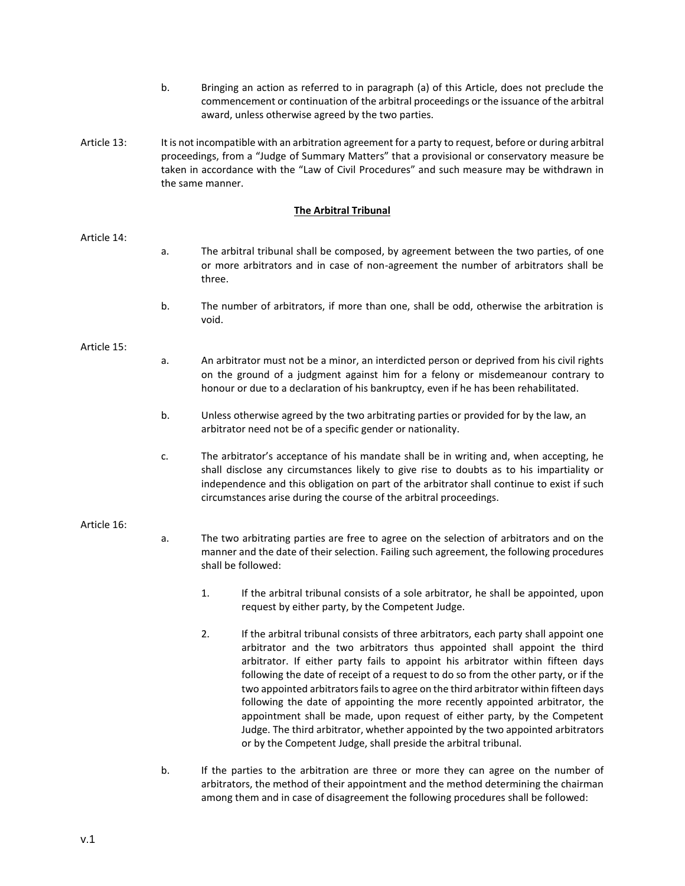- b. Bringing an action as referred to in paragraph (a) of this Article, does not preclude the commencement or continuation of the arbitral proceedings or the issuance of the arbitral award, unless otherwise agreed by the two parties.
- Article 13: It is not incompatible with an arbitration agreement for a party to request, before or during arbitral proceedings, from a "Judge of Summary Matters" that a provisional or conservatory measure be taken in accordance with the "Law of Civil Procedures" and such measure may be withdrawn in the same manner.

# **The Arbitral Tribunal**

### Article 14:

- a. The arbitral tribunal shall be composed, by agreement between the two parties, of one or more arbitrators and in case of non-agreement the number of arbitrators shall be three.
- b. The number of arbitrators, if more than one, shall be odd, otherwise the arbitration is void.

## Article 15:

- a. An arbitrator must not be a minor, an interdicted person or deprived from his civil rights on the ground of a judgment against him for a felony or misdemeanour contrary to honour or due to a declaration of his bankruptcy, even if he has been rehabilitated.
- b. Unless otherwise agreed by the two arbitrating parties or provided for by the law, an arbitrator need not be of a specific gender or nationality.
- c. The arbitrator's acceptance of his mandate shall be in writing and, when accepting, he shall disclose any circumstances likely to give rise to doubts as to his impartiality or independence and this obligation on part of the arbitrator shall continue to exist if such circumstances arise during the course of the arbitral proceedings.

### Article 16:

- a. The two arbitrating parties are free to agree on the selection of arbitrators and on the manner and the date of their selection. Failing such agreement, the following procedures shall be followed:
	- 1. If the arbitral tribunal consists of a sole arbitrator, he shall be appointed, upon request by either party, by the Competent Judge.
	- 2. If the arbitral tribunal consists of three arbitrators, each party shall appoint one arbitrator and the two arbitrators thus appointed shall appoint the third arbitrator. If either party fails to appoint his arbitrator within fifteen days following the date of receipt of a request to do so from the other party, or if the two appointed arbitrators fails to agree on the third arbitrator within fifteen days following the date of appointing the more recently appointed arbitrator, the appointment shall be made, upon request of either party, by the Competent Judge. The third arbitrator, whether appointed by the two appointed arbitrators or by the Competent Judge, shall preside the arbitral tribunal.
- b. If the parties to the arbitration are three or more they can agree on the number of arbitrators, the method of their appointment and the method determining the chairman among them and in case of disagreement the following procedures shall be followed: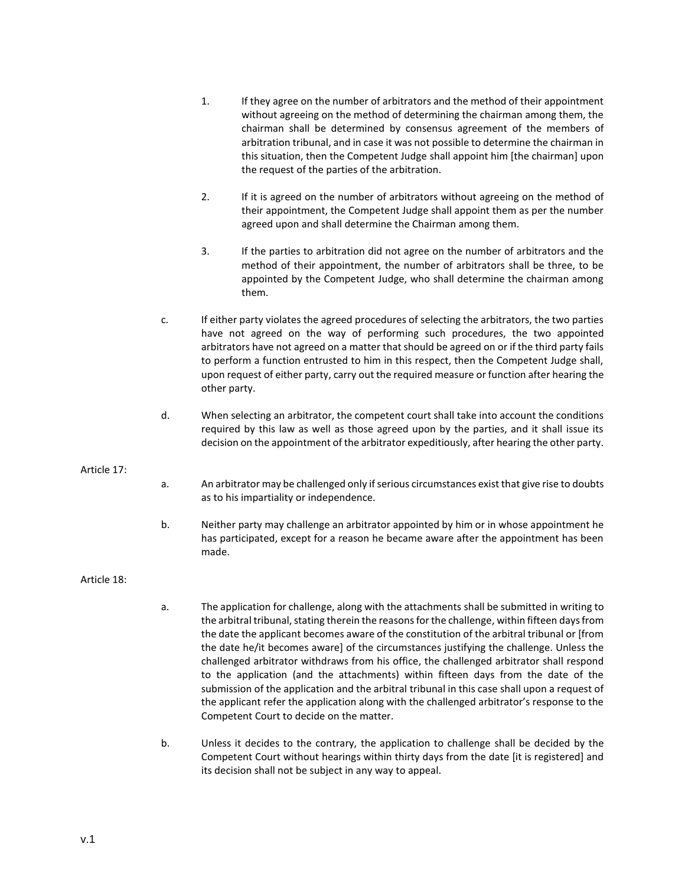- 1. If they agree on the number of arbitrators and the method of their appointment without agreeing on the method of determining the chairman among them, the chairman shall be determined by consensus agreement of the members of arbitration tribunal, and in case it was not possible to determine the chairman in this situation, then the Competent Judge shall appoint him [the chairman] upon the request of the parties of the arbitration.
- 2. If it is agreed on the number of arbitrators without agreeing on the method of their appointment, the Competent Judge shall appoint them as per the number agreed upon and shall determine the Chairman among them.
- 3. If the parties to arbitration did not agree on the number of arbitrators and the method of their appointment, the number of arbitrators shall be three, to be appointed by the Competent Judge, who shall determine the chairman among them.
- c. If either party violates the agreed procedures of selecting the arbitrators, the two parties have not agreed on the way of performing such procedures, the two appointed arbitrators have not agreed on a matter that should be agreed on or if the third party fails to perform a function entrusted to him in this respect, then the Competent Judge shall, upon request of either party, carry out the required measure or function after hearing the other party.
- d. When selecting an arbitrator, the competent court shall take into account the conditions required by this law as well as those agreed upon by the parties, and it shall issue its decision on the appointment of the arbitrator expeditiously, after hearing the other party.

# Article 17:

- a. An arbitrator may be challenged only if serious circumstances exist that give rise to doubts as to his impartiality or independence.
- b. Neither party may challenge an arbitrator appointed by him or in whose appointment he has participated, except for a reason he became aware after the appointment has been made.

# Article 18:

- a. The application for challenge, along with the attachments shall be submitted in writing to the arbitral tribunal, stating therein the reasons for the challenge, within fifteen days from the date the applicant becomes aware of the constitution of the arbitral tribunal or [from the date he/it becomes aware] of the circumstances justifying the challenge. Unless the challenged arbitrator withdraws from his office, the challenged arbitrator shall respond to the application (and the attachments) within fifteen days from the date of the submission of the application and the arbitral tribunal in this case shall upon a request of the applicant refer the application along with the challenged arbitrator's response to the Competent Court to decide on the matter.
- b. Unless it decides to the contrary, the application to challenge shall be decided by the Competent Court without hearings within thirty days from the date [it is registered] and its decision shall not be subject in any way to appeal.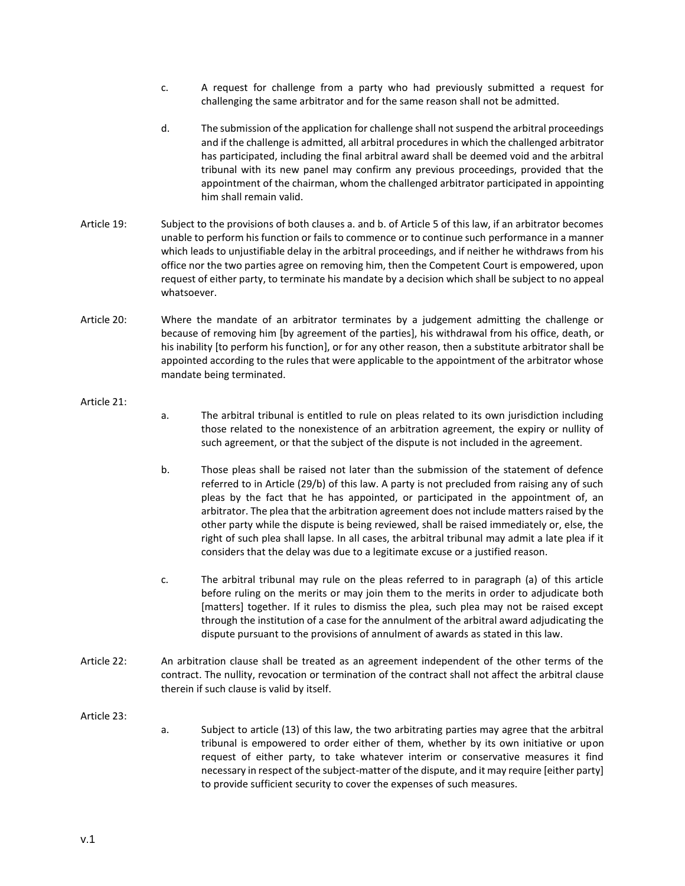- c. A request for challenge from a party who had previously submitted a request for challenging the same arbitrator and for the same reason shall not be admitted.
- d. The submission of the application for challenge shall not suspend the arbitral proceedings and if the challenge is admitted, all arbitral procedures in which the challenged arbitrator has participated, including the final arbitral award shall be deemed void and the arbitral tribunal with its new panel may confirm any previous proceedings, provided that the appointment of the chairman, whom the challenged arbitrator participated in appointing him shall remain valid.
- Article 19: Subject to the provisions of both clauses a. and b. of Article 5 of this law, if an arbitrator becomes unable to perform his function or fails to commence or to continue such performance in a manner which leads to unjustifiable delay in the arbitral proceedings, and if neither he withdraws from his office nor the two parties agree on removing him, then the Competent Court is empowered, upon request of either party, to terminate his mandate by a decision which shall be subject to no appeal whatsoever.
- Article 20: Where the mandate of an arbitrator terminates by a judgement admitting the challenge or because of removing him [by agreement of the parties], his withdrawal from his office, death, or his inability [to perform his function], or for any other reason, then a substitute arbitrator shall be appointed according to the rules that were applicable to the appointment of the arbitrator whose mandate being terminated.

### Article 21:

- a. The arbitral tribunal is entitled to rule on pleas related to its own jurisdiction including those related to the nonexistence of an arbitration agreement, the expiry or nullity of such agreement, or that the subject of the dispute is not included in the agreement.
- b. Those pleas shall be raised not later than the submission of the statement of defence referred to in Article (29/b) of this law. A party is not precluded from raising any of such pleas by the fact that he has appointed, or participated in the appointment of, an arbitrator. The plea that the arbitration agreement does not include matters raised by the other party while the dispute is being reviewed, shall be raised immediately or, else, the right of such plea shall lapse. In all cases, the arbitral tribunal may admit a late plea if it considers that the delay was due to a legitimate excuse or a justified reason.
- c. The arbitral tribunal may rule on the pleas referred to in paragraph (a) of this article before ruling on the merits or may join them to the merits in order to adjudicate both [matters] together. If it rules to dismiss the plea, such plea may not be raised except through the institution of a case for the annulment of the arbitral award adjudicating the dispute pursuant to the provisions of annulment of awards as stated in this law.
- Article 22: An arbitration clause shall be treated as an agreement independent of the other terms of the contract. The nullity, revocation or termination of the contract shall not affect the arbitral clause therein if such clause is valid by itself.

### Article 23:

a. Subject to article (13) of this law, the two arbitrating parties may agree that the arbitral tribunal is empowered to order either of them, whether by its own initiative or upon request of either party, to take whatever interim or conservative measures it find necessary in respect of the subject-matter of the dispute, and it may require [either party] to provide sufficient security to cover the expenses of such measures.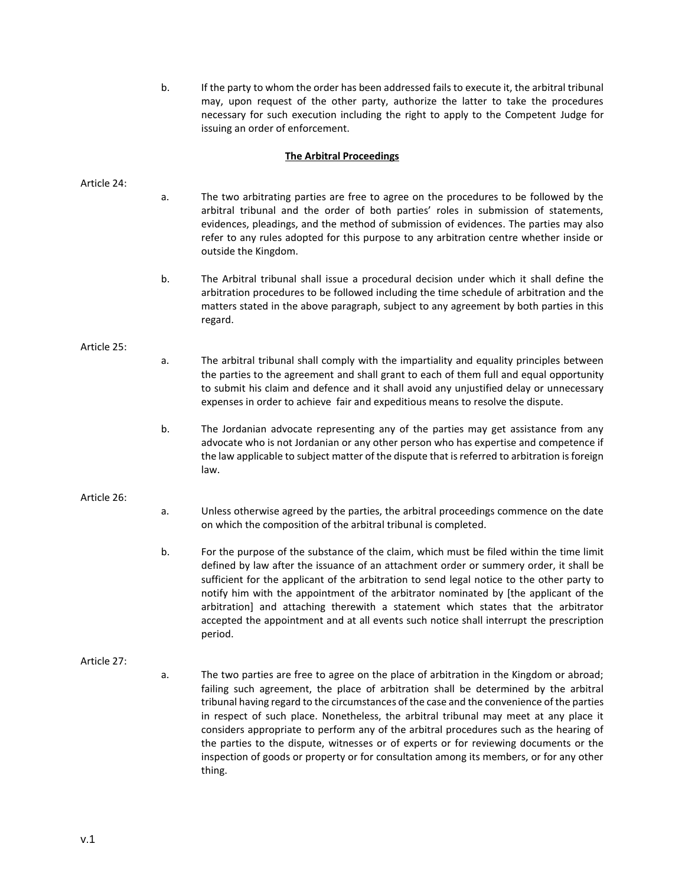b. If the party to whom the order has been addressed fails to execute it, the arbitral tribunal may, upon request of the other party, authorize the latter to take the procedures necessary for such execution including the right to apply to the Competent Judge for issuing an order of enforcement.

# **The Arbitral Proceedings**

Article 24:

- a. The two arbitrating parties are free to agree on the procedures to be followed by the arbitral tribunal and the order of both parties' roles in submission of statements, evidences, pleadings, and the method of submission of evidences. The parties may also refer to any rules adopted for this purpose to any arbitration centre whether inside or outside the Kingdom.
- b. The Arbitral tribunal shall issue a procedural decision under which it shall define the arbitration procedures to be followed including the time schedule of arbitration and the matters stated in the above paragraph, subject to any agreement by both parties in this regard.

#### Article 25:

- a. The arbitral tribunal shall comply with the impartiality and equality principles between the parties to the agreement and shall grant to each of them full and equal opportunity to submit his claim and defence and it shall avoid any unjustified delay or unnecessary expenses in order to achieve fair and expeditious means to resolve the dispute.
- b. The Jordanian advocate representing any of the parties may get assistance from any advocate who is not Jordanian or any other person who has expertise and competence if the law applicable to subject matter of the dispute that is referred to arbitration is foreign law.

### Article 26:

- a. Unless otherwise agreed by the parties, the arbitral proceedings commence on the date on which the composition of the arbitral tribunal is completed.
- b. For the purpose of the substance of the claim, which must be filed within the time limit defined by law after the issuance of an attachment order or summery order, it shall be sufficient for the applicant of the arbitration to send legal notice to the other party to notify him with the appointment of the arbitrator nominated by [the applicant of the arbitration] and attaching therewith a statement which states that the arbitrator accepted the appointment and at all events such notice shall interrupt the prescription period.

### Article 27:

a. The two parties are free to agree on the place of arbitration in the Kingdom or abroad; failing such agreement, the place of arbitration shall be determined by the arbitral tribunal having regard to the circumstances of the case and the convenience of the parties in respect of such place. Nonetheless, the arbitral tribunal may meet at any place it considers appropriate to perform any of the arbitral procedures such as the hearing of the parties to the dispute, witnesses or of experts or for reviewing documents or the inspection of goods or property or for consultation among its members, or for any other thing.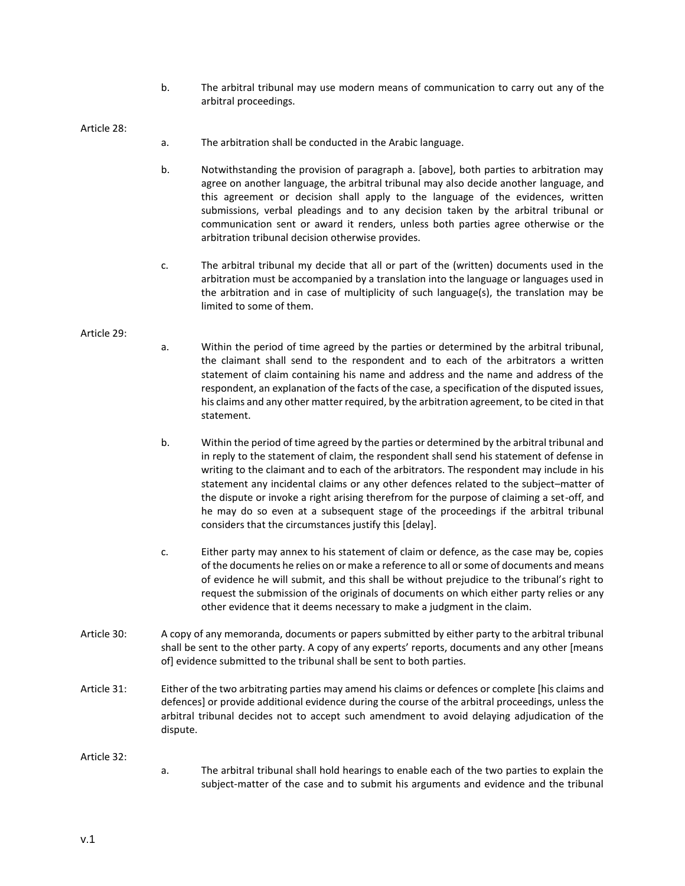b. The arbitral tribunal may use modern means of communication to carry out any of the arbitral proceedings.

Article 28:

- a. The arbitration shall be conducted in the Arabic language.
- b. Notwithstanding the provision of paragraph a. [above], both parties to arbitration may agree on another language, the arbitral tribunal may also decide another language, and this agreement or decision shall apply to the language of the evidences, written submissions, verbal pleadings and to any decision taken by the arbitral tribunal or communication sent or award it renders, unless both parties agree otherwise or the arbitration tribunal decision otherwise provides.
- c. The arbitral tribunal my decide that all or part of the (written) documents used in the arbitration must be accompanied by a translation into the language or languages used in the arbitration and in case of multiplicity of such language(s), the translation may be limited to some of them.

#### Article 29:

- a. Within the period of time agreed by the parties or determined by the arbitral tribunal, the claimant shall send to the respondent and to each of the arbitrators a written statement of claim containing his name and address and the name and address of the respondent, an explanation of the facts of the case, a specification of the disputed issues, his claims and any other matter required, by the arbitration agreement, to be cited in that statement.
- b. Within the period of time agreed by the parties or determined by the arbitral tribunal and in reply to the statement of claim, the respondent shall send his statement of defense in writing to the claimant and to each of the arbitrators. The respondent may include in his statement any incidental claims or any other defences related to the subject–matter of the dispute or invoke a right arising therefrom for the purpose of claiming a set-off, and he may do so even at a subsequent stage of the proceedings if the arbitral tribunal considers that the circumstances justify this [delay].
- c. Either party may annex to his statement of claim or defence, as the case may be, copies of the documents he relies on or make a reference to all or some of documents and means of evidence he will submit, and this shall be without prejudice to the tribunal's right to request the submission of the originals of documents on which either party relies or any other evidence that it deems necessary to make a judgment in the claim.
- Article 30: A copy of any memoranda, documents or papers submitted by either party to the arbitral tribunal shall be sent to the other party. A copy of any experts' reports, documents and any other [means of] evidence submitted to the tribunal shall be sent to both parties.
- Article 31: Either of the two arbitrating parties may amend his claims or defences or complete [his claims and defences] or provide additional evidence during the course of the arbitral proceedings, unless the arbitral tribunal decides not to accept such amendment to avoid delaying adjudication of the dispute.

Article 32:

a. The arbitral tribunal shall hold hearings to enable each of the two parties to explain the subject-matter of the case and to submit his arguments and evidence and the tribunal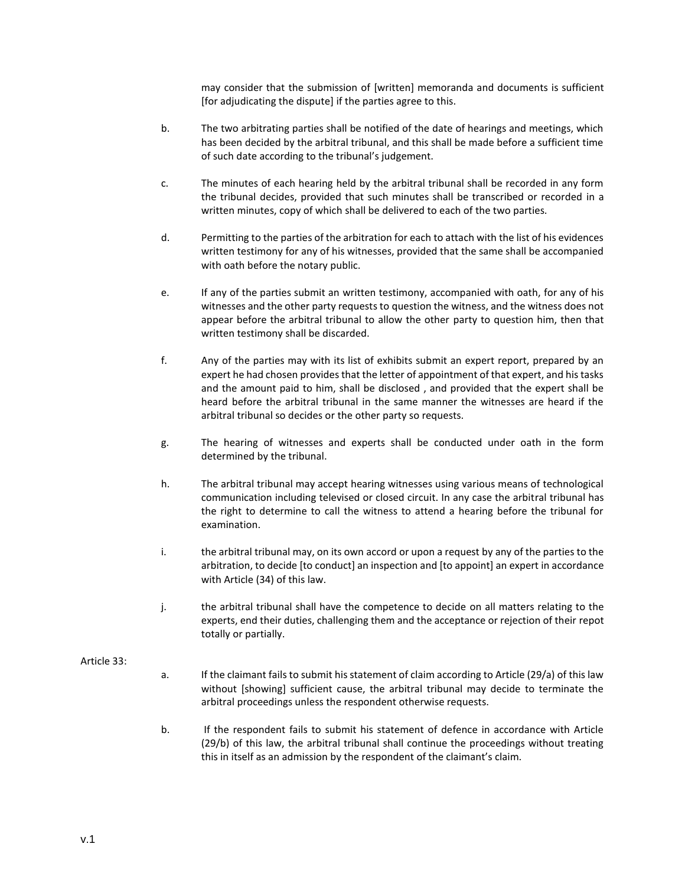may consider that the submission of [written] memoranda and documents is sufficient [for adjudicating the dispute] if the parties agree to this.

- b. The two arbitrating parties shall be notified of the date of hearings and meetings, which has been decided by the arbitral tribunal, and this shall be made before a sufficient time of such date according to the tribunal's judgement.
- c. The minutes of each hearing held by the arbitral tribunal shall be recorded in any form the tribunal decides, provided that such minutes shall be transcribed or recorded in a written minutes, copy of which shall be delivered to each of the two parties.
- d. Permitting to the parties of the arbitration for each to attach with the list of his evidences written testimony for any of his witnesses, provided that the same shall be accompanied with oath before the notary public.
- e. If any of the parties submit an written testimony, accompanied with oath, for any of his witnesses and the other party requests to question the witness, and the witness does not appear before the arbitral tribunal to allow the other party to question him, then that written testimony shall be discarded.
- f. Any of the parties may with its list of exhibits submit an expert report, prepared by an expert he had chosen provides that the letter of appointment of that expert, and his tasks and the amount paid to him, shall be disclosed , and provided that the expert shall be heard before the arbitral tribunal in the same manner the witnesses are heard if the arbitral tribunal so decides or the other party so requests.
- g. The hearing of witnesses and experts shall be conducted under oath in the form determined by the tribunal.
- h. The arbitral tribunal may accept hearing witnesses using various means of technological communication including televised or closed circuit. In any case the arbitral tribunal has the right to determine to call the witness to attend a hearing before the tribunal for examination.
- i. the arbitral tribunal may, on its own accord or upon a request by any of the parties to the arbitration, to decide [to conduct] an inspection and [to appoint] an expert in accordance with Article (34) of this law.
- j. the arbitral tribunal shall have the competence to decide on all matters relating to the experts, end their duties, challenging them and the acceptance or rejection of their repot totally or partially.

### Article 33:

- a. If the claimant fails to submit his statement of claim according to Article (29/a) of this law without [showing] sufficient cause, the arbitral tribunal may decide to terminate the arbitral proceedings unless the respondent otherwise requests.
- b. If the respondent fails to submit his statement of defence in accordance with Article (29/b) of this law, the arbitral tribunal shall continue the proceedings without treating this in itself as an admission by the respondent of the claimant's claim.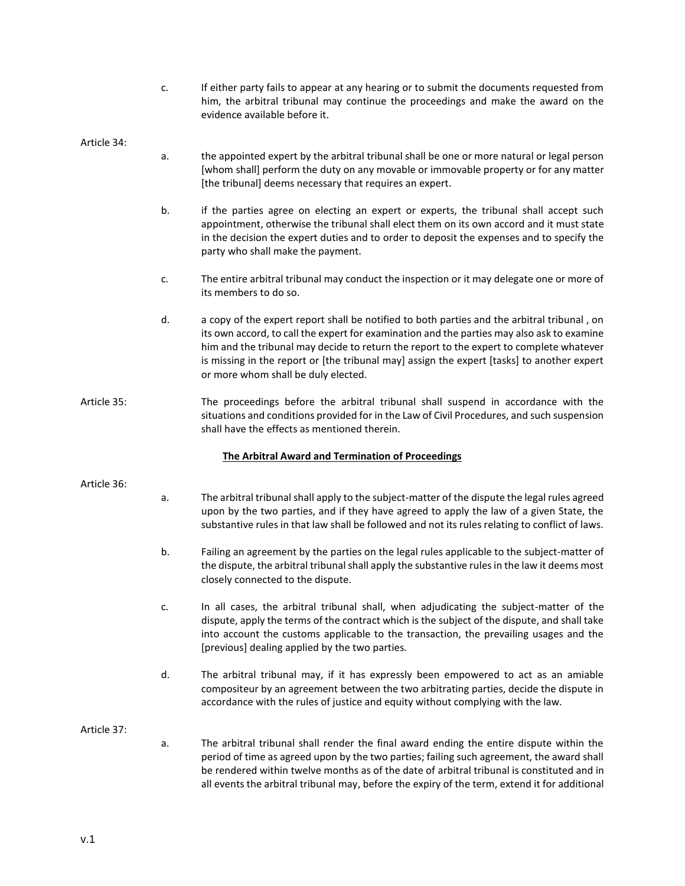c. If either party fails to appear at any hearing or to submit the documents requested from him, the arbitral tribunal may continue the proceedings and make the award on the evidence available before it.

### Article 34:

- a. the appointed expert by the arbitral tribunal shall be one or more natural or legal person [whom shall] perform the duty on any movable or immovable property or for any matter [the tribunal] deems necessary that requires an expert.
- b. if the parties agree on electing an expert or experts, the tribunal shall accept such appointment, otherwise the tribunal shall elect them on its own accord and it must state in the decision the expert duties and to order to deposit the expenses and to specify the party who shall make the payment.
- c. The entire arbitral tribunal may conduct the inspection or it may delegate one or more of its members to do so.
- d. a copy of the expert report shall be notified to both parties and the arbitral tribunal , on its own accord, to call the expert for examination and the parties may also ask to examine him and the tribunal may decide to return the report to the expert to complete whatever is missing in the report or [the tribunal may] assign the expert [tasks] to another expert or more whom shall be duly elected.
- Article 35: The proceedings before the arbitral tribunal shall suspend in accordance with the situations and conditions provided for in the Law of Civil Procedures, and such suspension shall have the effects as mentioned therein.

### **The Arbitral Award and Termination of Proceedings**

#### Article 36:

- a. The arbitral tribunal shall apply to the subject-matter of the dispute the legal rules agreed upon by the two parties, and if they have agreed to apply the law of a given State, the substantive rules in that law shall be followed and not its rules relating to conflict of laws.
- b. Failing an agreement by the parties on the legal rules applicable to the subject-matter of the dispute, the arbitral tribunal shall apply the substantive rules in the law it deems most closely connected to the dispute.
- c. In all cases, the arbitral tribunal shall, when adjudicating the subject-matter of the dispute, apply the terms of the contract which is the subject of the dispute, and shall take into account the customs applicable to the transaction, the prevailing usages and the [previous] dealing applied by the two parties.
- d. The arbitral tribunal may, if it has expressly been empowered to act as an amiable compositeur by an agreement between the two arbitrating parties, decide the dispute in accordance with the rules of justice and equity without complying with the law.

#### Article 37:

a. The arbitral tribunal shall render the final award ending the entire dispute within the period of time as agreed upon by the two parties; failing such agreement, the award shall be rendered within twelve months as of the date of arbitral tribunal is constituted and in all events the arbitral tribunal may, before the expiry of the term, extend it for additional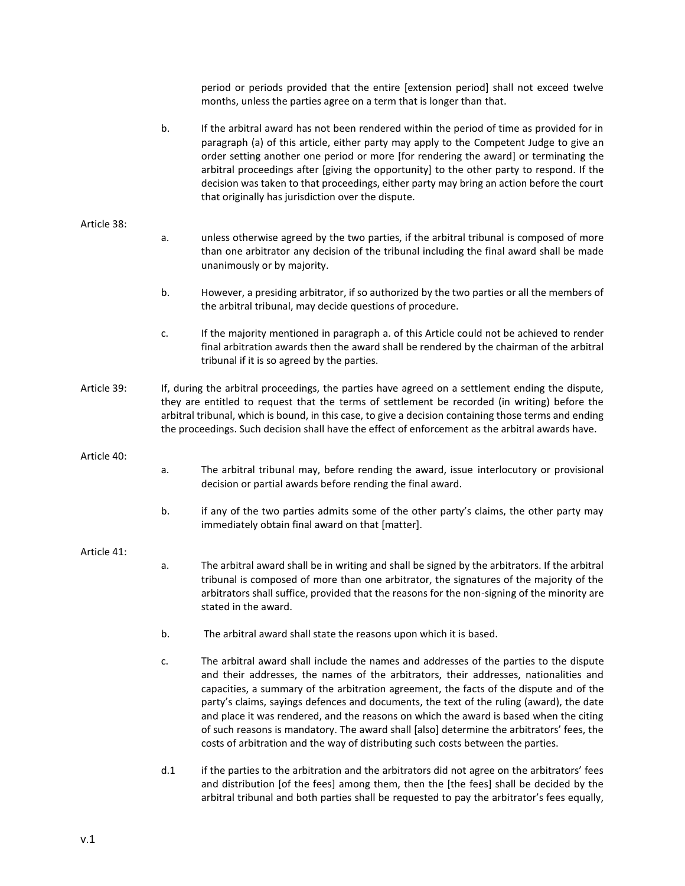|             |                                                                                                                                                                                                                                                                                                                                                                                                                | period or periods provided that the entire [extension period] shall not exceed twelve<br>months, unless the parties agree on a term that is longer than that.                                                                                                                                                                                                                                                                                                                                                                                                                                                                                     |
|-------------|----------------------------------------------------------------------------------------------------------------------------------------------------------------------------------------------------------------------------------------------------------------------------------------------------------------------------------------------------------------------------------------------------------------|---------------------------------------------------------------------------------------------------------------------------------------------------------------------------------------------------------------------------------------------------------------------------------------------------------------------------------------------------------------------------------------------------------------------------------------------------------------------------------------------------------------------------------------------------------------------------------------------------------------------------------------------------|
|             | b.                                                                                                                                                                                                                                                                                                                                                                                                             | If the arbitral award has not been rendered within the period of time as provided for in<br>paragraph (a) of this article, either party may apply to the Competent Judge to give an<br>order setting another one period or more [for rendering the award] or terminating the<br>arbitral proceedings after [giving the opportunity] to the other party to respond. If the<br>decision was taken to that proceedings, either party may bring an action before the court<br>that originally has jurisdiction over the dispute.                                                                                                                      |
| Article 38: |                                                                                                                                                                                                                                                                                                                                                                                                                |                                                                                                                                                                                                                                                                                                                                                                                                                                                                                                                                                                                                                                                   |
|             | a.                                                                                                                                                                                                                                                                                                                                                                                                             | unless otherwise agreed by the two parties, if the arbitral tribunal is composed of more<br>than one arbitrator any decision of the tribunal including the final award shall be made<br>unanimously or by majority.                                                                                                                                                                                                                                                                                                                                                                                                                               |
|             | b.                                                                                                                                                                                                                                                                                                                                                                                                             | However, a presiding arbitrator, if so authorized by the two parties or all the members of<br>the arbitral tribunal, may decide questions of procedure.                                                                                                                                                                                                                                                                                                                                                                                                                                                                                           |
|             | c.                                                                                                                                                                                                                                                                                                                                                                                                             | If the majority mentioned in paragraph a. of this Article could not be achieved to render<br>final arbitration awards then the award shall be rendered by the chairman of the arbitral<br>tribunal if it is so agreed by the parties.                                                                                                                                                                                                                                                                                                                                                                                                             |
| Article 39: | If, during the arbitral proceedings, the parties have agreed on a settlement ending the dispute,<br>they are entitled to request that the terms of settlement be recorded (in writing) before the<br>arbitral tribunal, which is bound, in this case, to give a decision containing those terms and ending<br>the proceedings. Such decision shall have the effect of enforcement as the arbitral awards have. |                                                                                                                                                                                                                                                                                                                                                                                                                                                                                                                                                                                                                                                   |
| Article 40: |                                                                                                                                                                                                                                                                                                                                                                                                                |                                                                                                                                                                                                                                                                                                                                                                                                                                                                                                                                                                                                                                                   |
|             | a.                                                                                                                                                                                                                                                                                                                                                                                                             | The arbitral tribunal may, before rending the award, issue interlocutory or provisional<br>decision or partial awards before rending the final award.                                                                                                                                                                                                                                                                                                                                                                                                                                                                                             |
|             | b.                                                                                                                                                                                                                                                                                                                                                                                                             | if any of the two parties admits some of the other party's claims, the other party may<br>immediately obtain final award on that [matter].                                                                                                                                                                                                                                                                                                                                                                                                                                                                                                        |
| Article 41: |                                                                                                                                                                                                                                                                                                                                                                                                                |                                                                                                                                                                                                                                                                                                                                                                                                                                                                                                                                                                                                                                                   |
|             | a.                                                                                                                                                                                                                                                                                                                                                                                                             | The arbitral award shall be in writing and shall be signed by the arbitrators. If the arbitral<br>tribunal is composed of more than one arbitrator, the signatures of the majority of the<br>arbitrators shall suffice, provided that the reasons for the non-signing of the minority are<br>stated in the award.                                                                                                                                                                                                                                                                                                                                 |
|             | b.                                                                                                                                                                                                                                                                                                                                                                                                             | The arbitral award shall state the reasons upon which it is based.                                                                                                                                                                                                                                                                                                                                                                                                                                                                                                                                                                                |
|             | c.                                                                                                                                                                                                                                                                                                                                                                                                             | The arbitral award shall include the names and addresses of the parties to the dispute<br>and their addresses, the names of the arbitrators, their addresses, nationalities and<br>capacities, a summary of the arbitration agreement, the facts of the dispute and of the<br>party's claims, sayings defences and documents, the text of the ruling (award), the date<br>and place it was rendered, and the reasons on which the award is based when the citing<br>of such reasons is mandatory. The award shall [also] determine the arbitrators' fees, the<br>costs of arbitration and the way of distributing such costs between the parties. |
|             | d.1                                                                                                                                                                                                                                                                                                                                                                                                            | if the parties to the arbitration and the arbitrators did not agree on the arbitrators' fees<br>and distribution [of the fees] among them, then the [the fees] shall be decided by the                                                                                                                                                                                                                                                                                                                                                                                                                                                            |

arbitral tribunal and both parties shall be requested to pay the arbitrator's fees equally,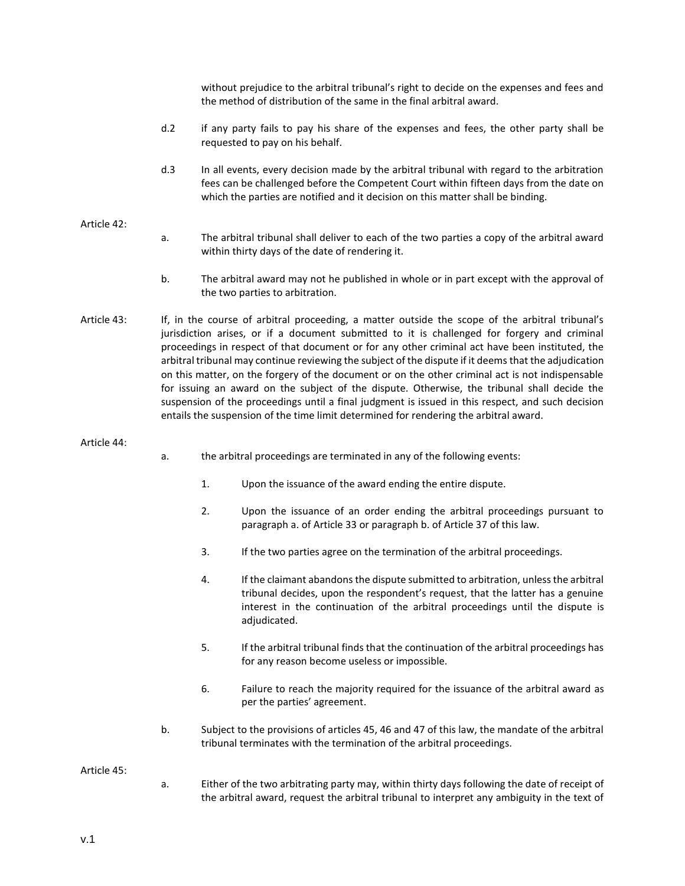without prejudice to the arbitral tribunal's right to decide on the expenses and fees and the method of distribution of the same in the final arbitral award.

- d.2 if any party fails to pay his share of the expenses and fees, the other party shall be requested to pay on his behalf.
- d.3 In all events, every decision made by the arbitral tribunal with regard to the arbitration fees can be challenged before the Competent Court within fifteen days from the date on which the parties are notified and it decision on this matter shall be binding.

### Article 42:

- a. The arbitral tribunal shall deliver to each of the two parties a copy of the arbitral award within thirty days of the date of rendering it.
- b. The arbitral award may not he published in whole or in part except with the approval of the two parties to arbitration.
- Article 43: If, in the course of arbitral proceeding, a matter outside the scope of the arbitral tribunal's jurisdiction arises, or if a document submitted to it is challenged for forgery and criminal proceedings in respect of that document or for any other criminal act have been instituted, the arbitral tribunal may continue reviewing the subject of the dispute if it deems that the adjudication on this matter, on the forgery of the document or on the other criminal act is not indispensable for issuing an award on the subject of the dispute. Otherwise, the tribunal shall decide the suspension of the proceedings until a final judgment is issued in this respect, and such decision entails the suspension of the time limit determined for rendering the arbitral award.

#### Article 44:

- a. the arbitral proceedings are terminated in any of the following events:
	- 1. Upon the issuance of the award ending the entire dispute.
	- 2. Upon the issuance of an order ending the arbitral proceedings pursuant to paragraph a. of Article 33 or paragraph b. of Article 37 of this law.
	- 3. If the two parties agree on the termination of the arbitral proceedings.
	- 4. If the claimant abandons the dispute submitted to arbitration, unless the arbitral tribunal decides, upon the respondent's request, that the latter has a genuine interest in the continuation of the arbitral proceedings until the dispute is adjudicated.
	- 5. If the arbitral tribunal finds that the continuation of the arbitral proceedings has for any reason become useless or impossible.
	- 6. Failure to reach the majority required for the issuance of the arbitral award as per the parties' agreement.
- b. Subject to the provisions of articles 45, 46 and 47 of this law, the mandate of the arbitral tribunal terminates with the termination of the arbitral proceedings.

#### Article 45:

a. Either of the two arbitrating party may, within thirty days following the date of receipt of the arbitral award, request the arbitral tribunal to interpret any ambiguity in the text of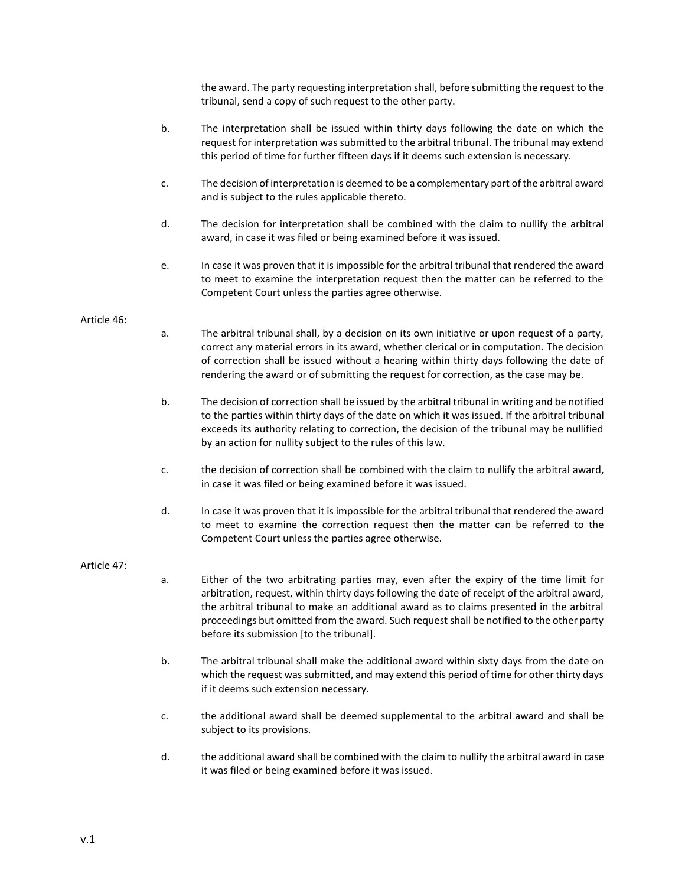the award. The party requesting interpretation shall, before submitting the request to the tribunal, send a copy of such request to the other party.

- b. The interpretation shall be issued within thirty days following the date on which the request for interpretation was submitted to the arbitral tribunal. The tribunal may extend this period of time for further fifteen days if it deems such extension is necessary.
- c. The decision of interpretation is deemed to be a complementary part of the arbitral award and is subject to the rules applicable thereto.
- d. The decision for interpretation shall be combined with the claim to nullify the arbitral award, in case it was filed or being examined before it was issued.
- e. In case it was proven that it is impossible for the arbitral tribunal that rendered the award to meet to examine the interpretation request then the matter can be referred to the Competent Court unless the parties agree otherwise.

## Article 46:

- a. The arbitral tribunal shall, by a decision on its own initiative or upon request of a party, correct any material errors in its award, whether clerical or in computation. The decision of correction shall be issued without a hearing within thirty days following the date of rendering the award or of submitting the request for correction, as the case may be.
- b. The decision of correction shall be issued by the arbitral tribunal in writing and be notified to the parties within thirty days of the date on which it was issued. If the arbitral tribunal exceeds its authority relating to correction, the decision of the tribunal may be nullified by an action for nullity subject to the rules of this law.
- c. the decision of correction shall be combined with the claim to nullify the arbitral award, in case it was filed or being examined before it was issued.
- d. In case it was proven that it is impossible for the arbitral tribunal that rendered the award to meet to examine the correction request then the matter can be referred to the Competent Court unless the parties agree otherwise.

### Article 47:

- a. Either of the two arbitrating parties may, even after the expiry of the time limit for arbitration, request, within thirty days following the date of receipt of the arbitral award, the arbitral tribunal to make an additional award as to claims presented in the arbitral proceedings but omitted from the award. Such request shall be notified to the other party before its submission [to the tribunal].
- b. The arbitral tribunal shall make the additional award within sixty days from the date on which the request was submitted, and may extend this period of time for other thirty days if it deems such extension necessary.
- c. the additional award shall be deemed supplemental to the arbitral award and shall be subject to its provisions.
- d. the additional award shall be combined with the claim to nullify the arbitral award in case it was filed or being examined before it was issued.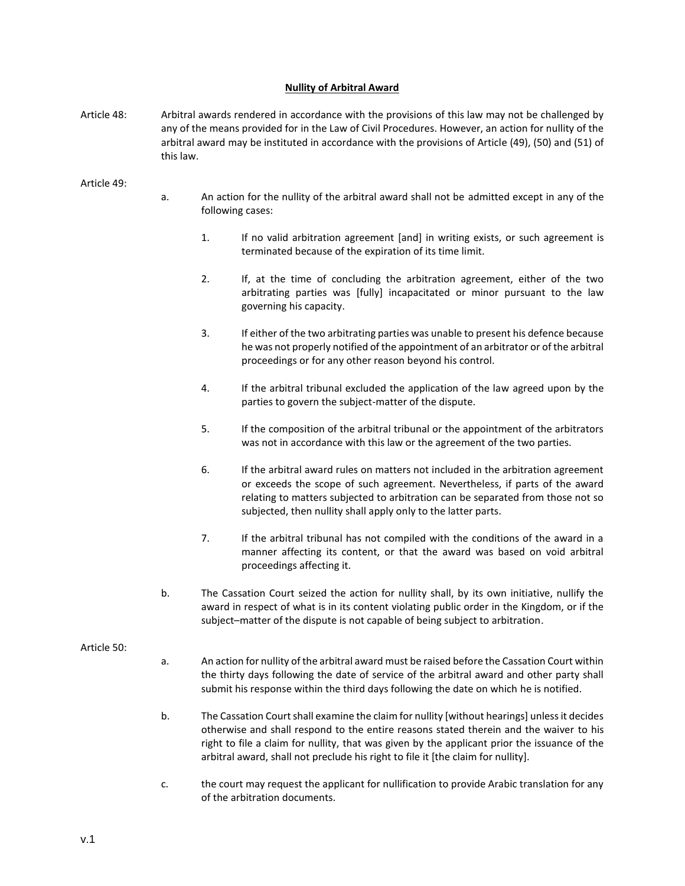## **Nullity of Arbitral Award**

Article 48: Arbitral awards rendered in accordance with the provisions of this law may not be challenged by any of the means provided for in the Law of Civil Procedures. However, an action for nullity of the arbitral award may be instituted in accordance with the provisions of Article (49), (50) and (51) of this law.

Article 49:

- a. An action for the nullity of the arbitral award shall not be admitted except in any of the following cases:
	- 1. If no valid arbitration agreement [and] in writing exists, or such agreement is terminated because of the expiration of its time limit.
	- 2. If, at the time of concluding the arbitration agreement, either of the two arbitrating parties was [fully] incapacitated or minor pursuant to the law governing his capacity.
	- 3. If either of the two arbitrating parties was unable to present his defence because he was not properly notified of the appointment of an arbitrator or of the arbitral proceedings or for any other reason beyond his control.
	- 4. If the arbitral tribunal excluded the application of the law agreed upon by the parties to govern the subject-matter of the dispute.
	- 5. If the composition of the arbitral tribunal or the appointment of the arbitrators was not in accordance with this law or the agreement of the two parties.
	- 6. If the arbitral award rules on matters not included in the arbitration agreement or exceeds the scope of such agreement. Nevertheless, if parts of the award relating to matters subjected to arbitration can be separated from those not so subjected, then nullity shall apply only to the latter parts.
	- 7. If the arbitral tribunal has not compiled with the conditions of the award in a manner affecting its content, or that the award was based on void arbitral proceedings affecting it.
- b. The Cassation Court seized the action for nullity shall, by its own initiative, nullify the award in respect of what is in its content violating public order in the Kingdom, or if the subject–matter of the dispute is not capable of being subject to arbitration.

## Article 50:

- a. An action for nullity of the arbitral award must be raised before the Cassation Court within the thirty days following the date of service of the arbitral award and other party shall submit his response within the third days following the date on which he is notified.
- b. The Cassation Court shall examine the claim for nullity [without hearings] unless it decides otherwise and shall respond to the entire reasons stated therein and the waiver to his right to file a claim for nullity, that was given by the applicant prior the issuance of the arbitral award, shall not preclude his right to file it [the claim for nullity].
- c. the court may request the applicant for nullification to provide Arabic translation for any of the arbitration documents.